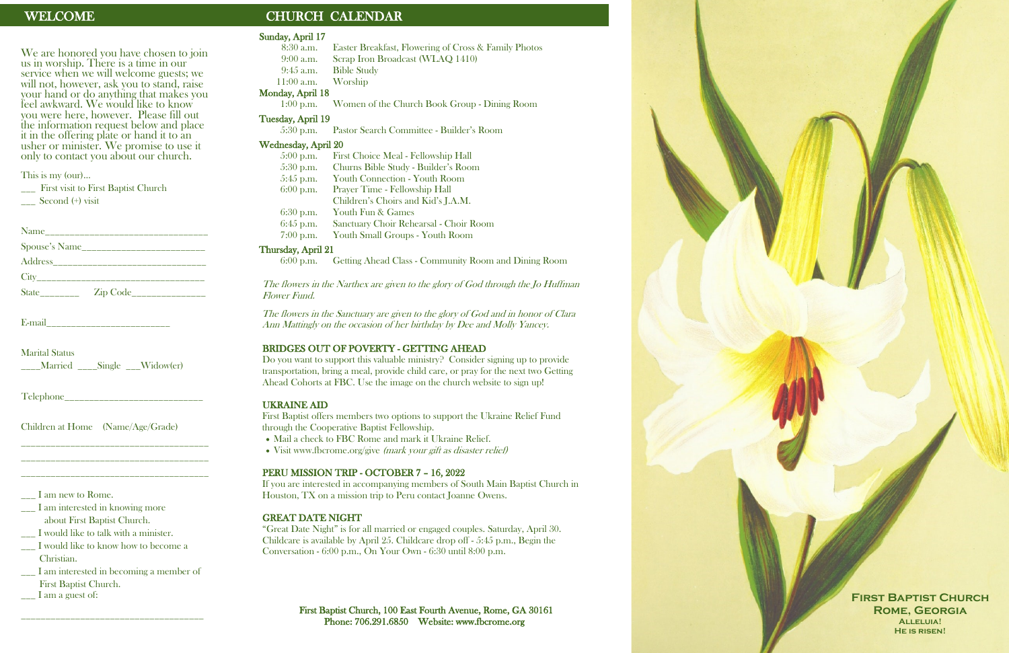We are honored you have chosen to join us in worship. There is a time in our service when we will welcome guests; we will not, however, ask you to stand, raise your hand or do anything that makes you feel awkward. We would like to know you were here, however. Please fill out the information request below and place it in the offering plate or hand it to an usher or minister. We promise to use it only to contact you about our church.

This is my (our)…

\_\_\_ First visit to First Baptist Church

 $\sim$  Second  $(+)$  visit

| Address__________________________                                                                                                                                                                                                                                    |                           |
|----------------------------------------------------------------------------------------------------------------------------------------------------------------------------------------------------------------------------------------------------------------------|---------------------------|
| $City$ and $City$ and $City$ and $City$ and $City$ and $City$ and $City$ and $City$ and $City$ and $City$ and $City$ and $City$ and $City$ and $Cty$ and $Cty$ and $Cty$ and $Cty$ and $Cty$ and $Cty$ and $Cty$ and $Cty$ and $Cty$ and $Cty$ and $Cty$ and $Cty$ a |                           |
|                                                                                                                                                                                                                                                                      | Zip Code_________________ |

E-mail

Marital Status \_\_\_\_Married \_\_\_\_Single \_\_\_Widow(er)

Telephone\_\_\_\_\_\_\_\_\_\_\_\_\_\_\_\_\_\_\_\_\_\_\_\_\_\_\_\_

Children at Home (Name/Age/Grade)

\_\_\_\_\_\_\_\_\_\_\_\_\_\_\_\_\_\_\_\_\_\_\_\_\_\_\_\_\_\_\_\_\_\_\_\_\_\_ \_\_\_\_\_\_\_\_\_\_\_\_\_\_\_\_\_\_\_\_\_\_\_\_\_\_\_\_\_\_\_\_\_\_\_\_\_\_ \_\_\_\_\_\_\_\_\_\_\_\_\_\_\_\_\_\_\_\_\_\_\_\_\_\_\_\_\_\_\_\_\_\_\_\_\_\_

I am new to Rome.

\_\_\_ I am interested in knowing more about First Baptist Church.

\_\_\_ I would like to talk with a minister.

\_\_\_ I would like to know how to become a Christian.

\_\_\_ I am interested in becoming a member of First Baptist Church.

\_\_\_\_\_\_\_\_\_\_\_\_\_\_\_\_\_\_\_\_\_\_\_\_\_\_\_\_\_\_\_\_\_\_\_\_\_

I am a guest of:

# WELCOME CHURCH CALENDAR

A Service of Christian Worship

Palm Sunday

**April 10, 2022** 

- Mail a check to FBC Rome and mark it Ukraine Relief.
- Visit www.fbcrome.org/give *(mark your gift as disaster relief)*

#### Sunday, April 17

- 8:30 a.m. Easter Breakfast, Flowering of Cross & Family Photos 9:00 a.m. Scrap Iron Broadcast (WLAQ 1410)
	-
- 9:45 a.m. Bible Study

11:00 a.m. Worship

# Monday, April 18

1:00 p.m. Women of the Church Book Group - Dining Room

#### Tuesday, April 19

First Baptist Church, 100 East Fourth Avenue, Rome, GA 30161 Phone: 706.291.6850 Website: www.fbcrome.org

5:30 p.m. Pastor Search Committee - Builder's Room

#### Wednesday, April 20

| $5:00$ p.m. | First Choice Meal - Fellowship Hall    |
|-------------|----------------------------------------|
| $5:30$ p.m. | Churns Bible Study - Builder's Room    |
| $5:45$ p.m. | Youth Connection - Youth Room          |
| $6:00$ p.m. | Prayer Time - Fellowship Hall          |
|             | Children's Choirs and Kid's J.A.M.     |
| $6:30$ p.m. | Youth Fun & Games                      |
| $6:45$ p.m. | Sanctuary Choir Rehearsal - Choir Room |
| $7:00$ p.m. | Youth Small Groups - Youth Room        |

#### Thursday, April 21

6:00 p.m. Getting Ahead Class - Community Room and Dining Room

The flowers in the Narthex are given to the glory of God through the Jo Huffman Flower Fund.

The flowers in the Sanctuary are given to the glory of God and in honor of Clara Ann Mattingly on the occasion of her birthday by Dee and Molly Yancey.

#### BRIDGES OUT OF POVERTY - GETTING AHEAD

Do you want to support this valuable ministry? Consider signing up to provide transportation, bring a meal, provide child care, or pray for the next two Getting Ahead Cohorts at FBC. Use the image on the church website to sign up!

#### UKRAINE AID

First Baptist offers members two options to support the Ukraine Relief Fund through the Cooperative Baptist Fellowship.

#### PERU MISSION TRIP - OCTOBER 7 – 16, 2022

If you are interested in accompanying members of South Main Baptist Church in Houston, TX on a mission trip to Peru contact Joanne Owens.

#### GREAT DATE NIGHT

"Great Date Night" is for all married or engaged couples. Saturday, April 30. Childcare is available by April 25. Childcare drop off - 5:45 p.m., Begin the Conversation - 6:00 p.m., On Your Own - 6:30 until 8:00 p.m.

> **First Baptist Church Rome, Georgia Alleluia! He is risen!**